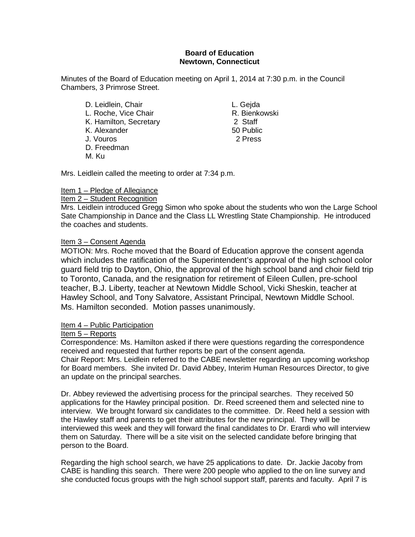## **Board of Education Newtown, Connecticut**

Minutes of the Board of Education meeting on April 1, 2014 at 7:30 p.m. in the Council Chambers, 3 Primrose Street.

D. Leidlein, Chair **L. Gejda** L. Roche, Vice Chair R. Bienkowski K. Hamilton, Secretary 2 Staff K. Alexander 60 Public<br>
U. Vouros 2 Press J. Vouros D. Freedman M. Ku

Mrs. Leidlein called the meeting to order at 7:34 p.m.

# Item 1 – Pledge of Allegiance

### Item 2 – Student Recognition

Mrs. Leidlein introduced Gregg Simon who spoke about the students who won the Large School Sate Championship in Dance and the Class LL Wrestling State Championship. He introduced the coaches and students.

## Item 3 – Consent Agenda

MOTION: Mrs. Roche moved that the Board of Education approve the consent agenda which includes the ratification of the Superintendent's approval of the high school color guard field trip to Dayton, Ohio, the approval of the high school band and choir field trip to Toronto, Canada, and the resignation for retirement of Eileen Cullen, pre-school teacher, B.J. Liberty, teacher at Newtown Middle School, Vicki Sheskin, teacher at Hawley School, and Tony Salvatore, Assistant Principal, Newtown Middle School. Ms. Hamilton seconded. Motion passes unanimously.

## Item 4 – Public Participation

#### Item 5 – Reports

Correspondence: Ms. Hamilton asked if there were questions regarding the correspondence received and requested that further reports be part of the consent agenda. Chair Report: Mrs. Leidlein referred to the CABE newsletter regarding an upcoming workshop for Board members. She invited Dr. David Abbey, Interim Human Resources Director, to give an update on the principal searches.

Dr. Abbey reviewed the advertising process for the principal searches. They received 50 applications for the Hawley principal position. Dr. Reed screened them and selected nine to interview. We brought forward six candidates to the committee. Dr. Reed held a session with the Hawley staff and parents to get their attributes for the new principal. They will be interviewed this week and they will forward the final candidates to Dr. Erardi who will interview them on Saturday. There will be a site visit on the selected candidate before bringing that person to the Board.

Regarding the high school search, we have 25 applications to date. Dr. Jackie Jacoby from CABE is handling this search. There were 200 people who applied to the on line survey and she conducted focus groups with the high school support staff, parents and faculty. April 7 is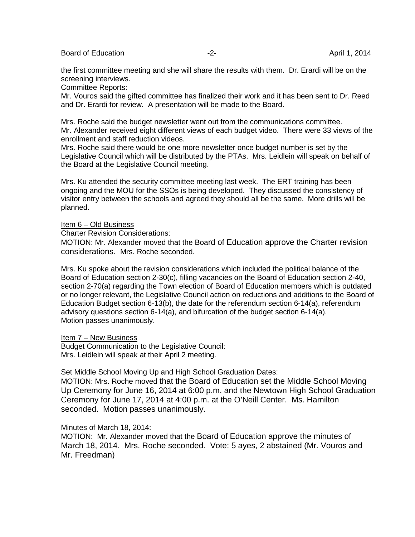Board of Education **-2-** April 1, 2014

the first committee meeting and she will share the results with them. Dr. Erardi will be on the screening interviews.

Committee Reports:

Mr. Vouros said the gifted committee has finalized their work and it has been sent to Dr. Reed and Dr. Erardi for review. A presentation will be made to the Board.

Mrs. Roche said the budget newsletter went out from the communications committee. Mr. Alexander received eight different views of each budget video. There were 33 views of the enrollment and staff reduction videos.

Mrs. Roche said there would be one more newsletter once budget number is set by the Legislative Council which will be distributed by the PTAs. Mrs. Leidlein will speak on behalf of the Board at the Legislative Council meeting.

Mrs. Ku attended the security committee meeting last week. The ERT training has been ongoing and the MOU for the SSOs is being developed. They discussed the consistency of visitor entry between the schools and agreed they should all be the same. More drills will be planned.

#### Item 6 – Old Business

Charter Revision Considerations:

MOTION: Mr. Alexander moved that the Board of Education approve the Charter revision considerations. Mrs. Roche seconded.

Mrs. Ku spoke about the revision considerations which included the political balance of the Board of Education section 2-30(c), filling vacancies on the Board of Education section 2-40, section 2-70(a) regarding the Town election of Board of Education members which is outdated or no longer relevant, the Legislative Council action on reductions and additions to the Board of Education Budget section 6-13(b), the date for the referendum section 6-14(a), referendum advisory questions section 6-14(a), and bifurcation of the budget section 6-14(a). Motion passes unanimously.

Item 7 – New Business

Budget Communication to the Legislative Council: Mrs. Leidlein will speak at their April 2 meeting.

Set Middle School Moving Up and High School Graduation Dates:

MOTION: Mrs. Roche moved that the Board of Education set the Middle School Moving Up Ceremony for June 16, 2014 at 6:00 p.m. and the Newtown High School Graduation Ceremony for June 17, 2014 at 4:00 p.m. at the O'Neill Center. Ms. Hamilton seconded. Motion passes unanimously.

Minutes of March 18, 2014:

MOTION: Mr. Alexander moved that the Board of Education approve the minutes of March 18, 2014. Mrs. Roche seconded. Vote: 5 ayes, 2 abstained (Mr. Vouros and Mr. Freedman)